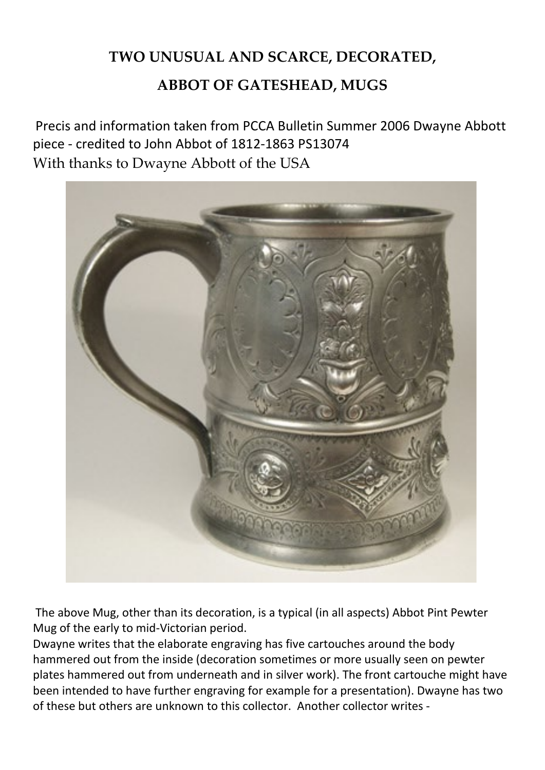## **TWO UNUSUAL AND SCARCE, DECORATED,**

## **ABBOT OF GATESHEAD, MUGS**

Precis and information taken from PCCA Bulletin Summer 2006 Dwayne Abbott piece - credited to John Abbot of 1812-1863 PS13074 With thanks to Dwayne Abbott of the USA



The above Mug, other than its decoration, is a typical (in all aspects) Abbot Pint Pewter Mug of the early to mid-Victorian period.

Dwayne writes that the elaborate engraving has five cartouches around the body hammered out from the inside (decoration sometimes or more usually seen on pewter plates hammered out from underneath and in silver work). The front cartouche might have been intended to have further engraving for example for a presentation). Dwayne has two of these but others are unknown to this collector. Another collector writes -